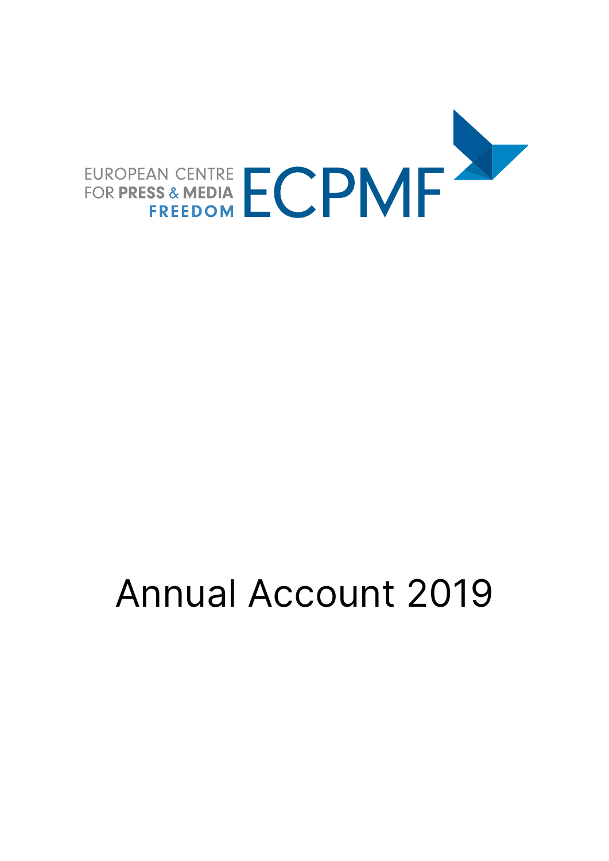

# Annual Account 2019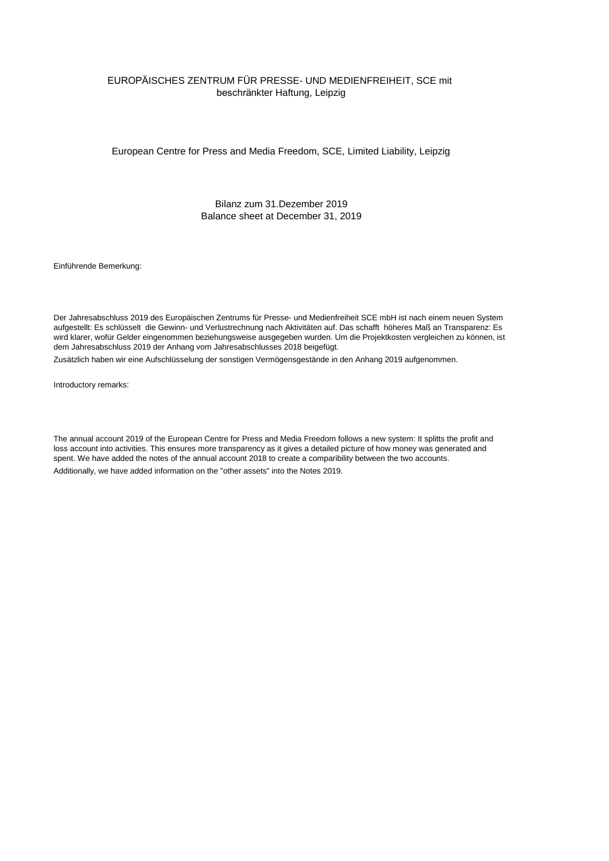## EUROPÄISCHES ZENTRUM FÜR PRESSE- UND MEDIENFREIHEIT, SCE mit beschränkter Haftung, Leipzig

European Centre for Press and Media Freedom, SCE, Limited Liability, Leipzig

Bilanz zum 31.Dezember 2019 Balance sheet at December 31, 2019

Einführende Bemerkung:

Der Jahresabschluss 2019 des Europäischen Zentrums für Presse- und Medienfreiheit SCE mbH ist nach einem neuen System aufgestellt: Es schlüsselt die Gewinn- und Verlustrechnung nach Aktivitäten auf. Das schafft höheres Maß an Transparenz: Es wird klarer, wofür Gelder eingenommen beziehungsweise ausgegeben wurden. Um die Projektkosten vergleichen zu können, ist dem Jahresabschluss 2019 der Anhang vom Jahresabschlusses 2018 beigefügt.

Zusätzlich haben wir eine Aufschlüsselung der sonstigen Vermögensgestände in den Anhang 2019 aufgenommen.

Introductory remarks:

Additionally, we have added information on the "other assets" into the Notes 2019. The annual account 2019 of the European Centre for Press and Media Freedom follows a new system: It splitts the profit and loss account into activities. This ensures more transparency as it gives a detailed picture of how money was generated and spent. We have added the notes of the annual account 2018 to create a comparibility between the two accounts.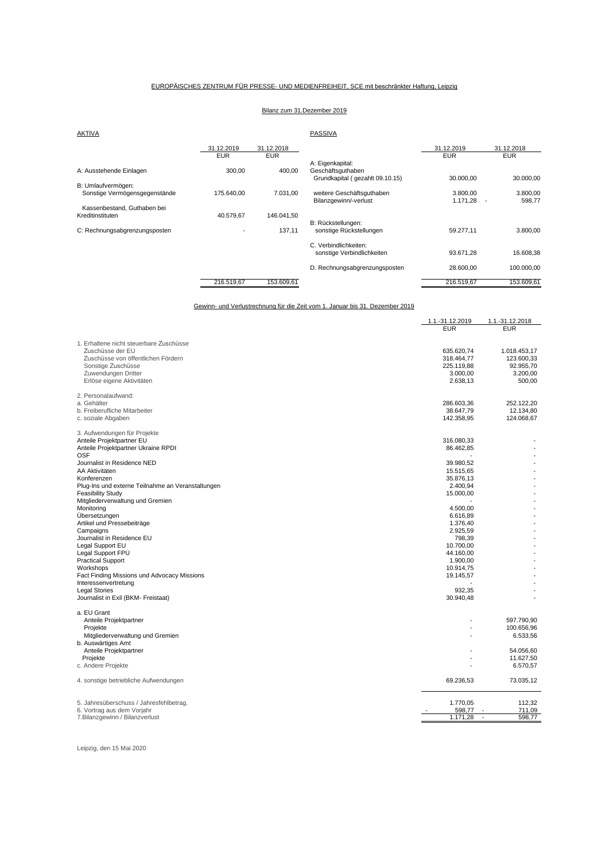#### EUROPÄISCHES ZENTRUM FÜR PRESSE- UND MEDIENFREIHEIT, SCE mit beschränkter Haftung, Leipzig

## Bilanz zum 31.Dezember 2019

| <b>AKTIVA</b>                 |            |            | PASSIVA                          |            |            |
|-------------------------------|------------|------------|----------------------------------|------------|------------|
|                               | 31.12.2019 | 31.12.2018 |                                  | 31.12.2019 | 31.12.2018 |
|                               | <b>EUR</b> | <b>EUR</b> |                                  | <b>EUR</b> | <b>EUR</b> |
|                               |            |            | A: Eigenkapital:                 |            |            |
| A: Ausstehende Einlagen       | 300,00     | 400,00     | Geschäftsguthaben                |            |            |
|                               |            |            | Grundkapital ( gezahlt 09.10.15) | 30.000,00  | 30.000,00  |
| B: Umlaufvermögen:            |            |            |                                  |            |            |
| Sonstige Vermögensgegenstände | 175.640.00 | 7.031,00   | weitere Geschäftsauthaben        | 3.800.00   | 3.800,00   |
|                               |            |            | Bilanzgewinn/-verlust            | 1.171,28   | 598,77     |
| Kassenbestand, Guthaben bei   |            |            |                                  |            |            |
| Kreditinstituten              | 40.579.67  | 146.041.50 |                                  |            |            |
|                               |            |            | B: Rückstellungen:               |            |            |
| C: Rechnungsabgrenzungsposten |            | 137,11     | sonstige Rückstellungen          | 59.277.11  | 3.800.00   |
|                               |            |            | C. Verbindlichkeiten:            |            |            |
|                               |            |            | sonstige Verbindlichkeiten       | 93.671,28  | 16.608,38  |
|                               |            |            | D. Rechnungsabgrenzungsposten    | 28.600,00  | 100.000,00 |
|                               | 216.519.67 | 153.609.61 |                                  | 216.519.67 | 153.609,61 |

Gewinn- und Verlustrechnung für die Zeit vom 1. Januar bis 31. Dezember 2019

| 1. Erhaltene nicht steuerbare Zuschüsse<br>Zuschüsse der EU<br>635.620.74<br>1.018.453,17<br>Zuschüsse von öffentlichen Fördern<br>318.464,77<br>123.600,33<br>Sonstige Zuschüsse<br>225.119.88<br>92.955.70<br>Zuwendungen Dritter<br>3.200,00<br>3.000,00<br>Erlöse eigene Aktivitäten<br>2.638,13<br>500,00<br>2. Personalaufwand:<br>a. Gehälter<br>286.603,36<br>252.122,20<br>b. Freiberufliche Mitarbeiter<br>38.647,79<br>12.134,80<br>c. soziale Abgaben<br>124.068,67<br>142.358,95<br>3. Aufwendungen für Projekte<br>Anteile Projektpartner EU<br>316.080,33<br>Anteile Projektpartner Ukraine RPDI<br>86.462,85<br><b>OSF</b><br>Journalist in Residence NED<br>39.980.52<br>AA Aktivitäten<br>15.515,65<br>Konferenzen<br>35.876.13<br>Plug-Ins und externe Teilnahme an Veranstaltungen<br>2.400,94<br><b>Feasibility Study</b><br>15.000,00<br>Mitgliederverwaltung und Gremien<br>Monitoring<br>4.500,00<br>Übersetzungen<br>6.616,89<br>Artikel und Pressebeiträge<br>1.376,40<br>2.925,59<br>Campaigns<br>Journalist in Residence EU<br>798,39<br>Legal Support EU<br>10.700,00<br>Legal Support FPU<br>44.160,00<br><b>Practical Support</b><br>1.900.00<br>Workshops<br>10.914,75<br>Fact Finding Missions und Advocacy Missions<br>19.145,57<br>Interessenvertretung<br>932,35<br><b>Legal Stories</b><br>Journalist in Exil (BKM- Freistaat)<br>30.940,48<br>a. EU Grant<br>Anteile Projektpartner<br>597.790,90<br>Proiekte<br>100.656,96<br>Mitgliederverwaltung und Gremien<br>6.533,56<br>b. Auswärtiges Amt<br>Anteile Projektpartner<br>54.056,60<br>11.627,50<br>Projekte<br>c. Andere Projekte<br>6.570,57<br>69.236,53<br>73.035,12<br>4. sonstige betriebliche Aufwendungen<br>5. Jahresüberschuss / Jahresfehlbetrag.<br>1.770,05<br>112,32<br>6. Vortrag aus dem Vorjahr<br>598,77<br>711,09<br>7. Bilanzgewinn / Bilanzverlust<br>1.171,28<br>598,77<br>$\overline{\phantom{a}}$ | 1.1.-31.12.2019 | 1.1.-31.12.2018 |
|----------------------------------------------------------------------------------------------------------------------------------------------------------------------------------------------------------------------------------------------------------------------------------------------------------------------------------------------------------------------------------------------------------------------------------------------------------------------------------------------------------------------------------------------------------------------------------------------------------------------------------------------------------------------------------------------------------------------------------------------------------------------------------------------------------------------------------------------------------------------------------------------------------------------------------------------------------------------------------------------------------------------------------------------------------------------------------------------------------------------------------------------------------------------------------------------------------------------------------------------------------------------------------------------------------------------------------------------------------------------------------------------------------------------------------------------------------------------------------------------------------------------------------------------------------------------------------------------------------------------------------------------------------------------------------------------------------------------------------------------------------------------------------------------------------------------------------------------------------------------------------------------------------------------|-----------------|-----------------|
|                                                                                                                                                                                                                                                                                                                                                                                                                                                                                                                                                                                                                                                                                                                                                                                                                                                                                                                                                                                                                                                                                                                                                                                                                                                                                                                                                                                                                                                                                                                                                                                                                                                                                                                                                                                                                                                                                                                      | <b>EUR</b>      | <b>EUR</b>      |
|                                                                                                                                                                                                                                                                                                                                                                                                                                                                                                                                                                                                                                                                                                                                                                                                                                                                                                                                                                                                                                                                                                                                                                                                                                                                                                                                                                                                                                                                                                                                                                                                                                                                                                                                                                                                                                                                                                                      |                 |                 |
|                                                                                                                                                                                                                                                                                                                                                                                                                                                                                                                                                                                                                                                                                                                                                                                                                                                                                                                                                                                                                                                                                                                                                                                                                                                                                                                                                                                                                                                                                                                                                                                                                                                                                                                                                                                                                                                                                                                      |                 |                 |
|                                                                                                                                                                                                                                                                                                                                                                                                                                                                                                                                                                                                                                                                                                                                                                                                                                                                                                                                                                                                                                                                                                                                                                                                                                                                                                                                                                                                                                                                                                                                                                                                                                                                                                                                                                                                                                                                                                                      |                 |                 |
|                                                                                                                                                                                                                                                                                                                                                                                                                                                                                                                                                                                                                                                                                                                                                                                                                                                                                                                                                                                                                                                                                                                                                                                                                                                                                                                                                                                                                                                                                                                                                                                                                                                                                                                                                                                                                                                                                                                      |                 |                 |
|                                                                                                                                                                                                                                                                                                                                                                                                                                                                                                                                                                                                                                                                                                                                                                                                                                                                                                                                                                                                                                                                                                                                                                                                                                                                                                                                                                                                                                                                                                                                                                                                                                                                                                                                                                                                                                                                                                                      |                 |                 |
|                                                                                                                                                                                                                                                                                                                                                                                                                                                                                                                                                                                                                                                                                                                                                                                                                                                                                                                                                                                                                                                                                                                                                                                                                                                                                                                                                                                                                                                                                                                                                                                                                                                                                                                                                                                                                                                                                                                      |                 |                 |
|                                                                                                                                                                                                                                                                                                                                                                                                                                                                                                                                                                                                                                                                                                                                                                                                                                                                                                                                                                                                                                                                                                                                                                                                                                                                                                                                                                                                                                                                                                                                                                                                                                                                                                                                                                                                                                                                                                                      |                 |                 |
|                                                                                                                                                                                                                                                                                                                                                                                                                                                                                                                                                                                                                                                                                                                                                                                                                                                                                                                                                                                                                                                                                                                                                                                                                                                                                                                                                                                                                                                                                                                                                                                                                                                                                                                                                                                                                                                                                                                      |                 |                 |
|                                                                                                                                                                                                                                                                                                                                                                                                                                                                                                                                                                                                                                                                                                                                                                                                                                                                                                                                                                                                                                                                                                                                                                                                                                                                                                                                                                                                                                                                                                                                                                                                                                                                                                                                                                                                                                                                                                                      |                 |                 |
|                                                                                                                                                                                                                                                                                                                                                                                                                                                                                                                                                                                                                                                                                                                                                                                                                                                                                                                                                                                                                                                                                                                                                                                                                                                                                                                                                                                                                                                                                                                                                                                                                                                                                                                                                                                                                                                                                                                      |                 |                 |
|                                                                                                                                                                                                                                                                                                                                                                                                                                                                                                                                                                                                                                                                                                                                                                                                                                                                                                                                                                                                                                                                                                                                                                                                                                                                                                                                                                                                                                                                                                                                                                                                                                                                                                                                                                                                                                                                                                                      |                 |                 |
|                                                                                                                                                                                                                                                                                                                                                                                                                                                                                                                                                                                                                                                                                                                                                                                                                                                                                                                                                                                                                                                                                                                                                                                                                                                                                                                                                                                                                                                                                                                                                                                                                                                                                                                                                                                                                                                                                                                      |                 |                 |
|                                                                                                                                                                                                                                                                                                                                                                                                                                                                                                                                                                                                                                                                                                                                                                                                                                                                                                                                                                                                                                                                                                                                                                                                                                                                                                                                                                                                                                                                                                                                                                                                                                                                                                                                                                                                                                                                                                                      |                 |                 |
|                                                                                                                                                                                                                                                                                                                                                                                                                                                                                                                                                                                                                                                                                                                                                                                                                                                                                                                                                                                                                                                                                                                                                                                                                                                                                                                                                                                                                                                                                                                                                                                                                                                                                                                                                                                                                                                                                                                      |                 |                 |
|                                                                                                                                                                                                                                                                                                                                                                                                                                                                                                                                                                                                                                                                                                                                                                                                                                                                                                                                                                                                                                                                                                                                                                                                                                                                                                                                                                                                                                                                                                                                                                                                                                                                                                                                                                                                                                                                                                                      |                 |                 |
|                                                                                                                                                                                                                                                                                                                                                                                                                                                                                                                                                                                                                                                                                                                                                                                                                                                                                                                                                                                                                                                                                                                                                                                                                                                                                                                                                                                                                                                                                                                                                                                                                                                                                                                                                                                                                                                                                                                      |                 |                 |
|                                                                                                                                                                                                                                                                                                                                                                                                                                                                                                                                                                                                                                                                                                                                                                                                                                                                                                                                                                                                                                                                                                                                                                                                                                                                                                                                                                                                                                                                                                                                                                                                                                                                                                                                                                                                                                                                                                                      |                 |                 |
|                                                                                                                                                                                                                                                                                                                                                                                                                                                                                                                                                                                                                                                                                                                                                                                                                                                                                                                                                                                                                                                                                                                                                                                                                                                                                                                                                                                                                                                                                                                                                                                                                                                                                                                                                                                                                                                                                                                      |                 |                 |
|                                                                                                                                                                                                                                                                                                                                                                                                                                                                                                                                                                                                                                                                                                                                                                                                                                                                                                                                                                                                                                                                                                                                                                                                                                                                                                                                                                                                                                                                                                                                                                                                                                                                                                                                                                                                                                                                                                                      |                 |                 |
|                                                                                                                                                                                                                                                                                                                                                                                                                                                                                                                                                                                                                                                                                                                                                                                                                                                                                                                                                                                                                                                                                                                                                                                                                                                                                                                                                                                                                                                                                                                                                                                                                                                                                                                                                                                                                                                                                                                      |                 |                 |
|                                                                                                                                                                                                                                                                                                                                                                                                                                                                                                                                                                                                                                                                                                                                                                                                                                                                                                                                                                                                                                                                                                                                                                                                                                                                                                                                                                                                                                                                                                                                                                                                                                                                                                                                                                                                                                                                                                                      |                 |                 |
|                                                                                                                                                                                                                                                                                                                                                                                                                                                                                                                                                                                                                                                                                                                                                                                                                                                                                                                                                                                                                                                                                                                                                                                                                                                                                                                                                                                                                                                                                                                                                                                                                                                                                                                                                                                                                                                                                                                      |                 |                 |
|                                                                                                                                                                                                                                                                                                                                                                                                                                                                                                                                                                                                                                                                                                                                                                                                                                                                                                                                                                                                                                                                                                                                                                                                                                                                                                                                                                                                                                                                                                                                                                                                                                                                                                                                                                                                                                                                                                                      |                 |                 |
|                                                                                                                                                                                                                                                                                                                                                                                                                                                                                                                                                                                                                                                                                                                                                                                                                                                                                                                                                                                                                                                                                                                                                                                                                                                                                                                                                                                                                                                                                                                                                                                                                                                                                                                                                                                                                                                                                                                      |                 |                 |
|                                                                                                                                                                                                                                                                                                                                                                                                                                                                                                                                                                                                                                                                                                                                                                                                                                                                                                                                                                                                                                                                                                                                                                                                                                                                                                                                                                                                                                                                                                                                                                                                                                                                                                                                                                                                                                                                                                                      |                 |                 |
|                                                                                                                                                                                                                                                                                                                                                                                                                                                                                                                                                                                                                                                                                                                                                                                                                                                                                                                                                                                                                                                                                                                                                                                                                                                                                                                                                                                                                                                                                                                                                                                                                                                                                                                                                                                                                                                                                                                      |                 |                 |
|                                                                                                                                                                                                                                                                                                                                                                                                                                                                                                                                                                                                                                                                                                                                                                                                                                                                                                                                                                                                                                                                                                                                                                                                                                                                                                                                                                                                                                                                                                                                                                                                                                                                                                                                                                                                                                                                                                                      |                 |                 |
|                                                                                                                                                                                                                                                                                                                                                                                                                                                                                                                                                                                                                                                                                                                                                                                                                                                                                                                                                                                                                                                                                                                                                                                                                                                                                                                                                                                                                                                                                                                                                                                                                                                                                                                                                                                                                                                                                                                      |                 |                 |
|                                                                                                                                                                                                                                                                                                                                                                                                                                                                                                                                                                                                                                                                                                                                                                                                                                                                                                                                                                                                                                                                                                                                                                                                                                                                                                                                                                                                                                                                                                                                                                                                                                                                                                                                                                                                                                                                                                                      |                 |                 |
|                                                                                                                                                                                                                                                                                                                                                                                                                                                                                                                                                                                                                                                                                                                                                                                                                                                                                                                                                                                                                                                                                                                                                                                                                                                                                                                                                                                                                                                                                                                                                                                                                                                                                                                                                                                                                                                                                                                      |                 |                 |
|                                                                                                                                                                                                                                                                                                                                                                                                                                                                                                                                                                                                                                                                                                                                                                                                                                                                                                                                                                                                                                                                                                                                                                                                                                                                                                                                                                                                                                                                                                                                                                                                                                                                                                                                                                                                                                                                                                                      |                 |                 |
|                                                                                                                                                                                                                                                                                                                                                                                                                                                                                                                                                                                                                                                                                                                                                                                                                                                                                                                                                                                                                                                                                                                                                                                                                                                                                                                                                                                                                                                                                                                                                                                                                                                                                                                                                                                                                                                                                                                      |                 |                 |
|                                                                                                                                                                                                                                                                                                                                                                                                                                                                                                                                                                                                                                                                                                                                                                                                                                                                                                                                                                                                                                                                                                                                                                                                                                                                                                                                                                                                                                                                                                                                                                                                                                                                                                                                                                                                                                                                                                                      |                 |                 |
|                                                                                                                                                                                                                                                                                                                                                                                                                                                                                                                                                                                                                                                                                                                                                                                                                                                                                                                                                                                                                                                                                                                                                                                                                                                                                                                                                                                                                                                                                                                                                                                                                                                                                                                                                                                                                                                                                                                      |                 |                 |
|                                                                                                                                                                                                                                                                                                                                                                                                                                                                                                                                                                                                                                                                                                                                                                                                                                                                                                                                                                                                                                                                                                                                                                                                                                                                                                                                                                                                                                                                                                                                                                                                                                                                                                                                                                                                                                                                                                                      |                 |                 |
|                                                                                                                                                                                                                                                                                                                                                                                                                                                                                                                                                                                                                                                                                                                                                                                                                                                                                                                                                                                                                                                                                                                                                                                                                                                                                                                                                                                                                                                                                                                                                                                                                                                                                                                                                                                                                                                                                                                      |                 |                 |
|                                                                                                                                                                                                                                                                                                                                                                                                                                                                                                                                                                                                                                                                                                                                                                                                                                                                                                                                                                                                                                                                                                                                                                                                                                                                                                                                                                                                                                                                                                                                                                                                                                                                                                                                                                                                                                                                                                                      |                 |                 |
|                                                                                                                                                                                                                                                                                                                                                                                                                                                                                                                                                                                                                                                                                                                                                                                                                                                                                                                                                                                                                                                                                                                                                                                                                                                                                                                                                                                                                                                                                                                                                                                                                                                                                                                                                                                                                                                                                                                      |                 |                 |
|                                                                                                                                                                                                                                                                                                                                                                                                                                                                                                                                                                                                                                                                                                                                                                                                                                                                                                                                                                                                                                                                                                                                                                                                                                                                                                                                                                                                                                                                                                                                                                                                                                                                                                                                                                                                                                                                                                                      |                 |                 |
|                                                                                                                                                                                                                                                                                                                                                                                                                                                                                                                                                                                                                                                                                                                                                                                                                                                                                                                                                                                                                                                                                                                                                                                                                                                                                                                                                                                                                                                                                                                                                                                                                                                                                                                                                                                                                                                                                                                      |                 |                 |
|                                                                                                                                                                                                                                                                                                                                                                                                                                                                                                                                                                                                                                                                                                                                                                                                                                                                                                                                                                                                                                                                                                                                                                                                                                                                                                                                                                                                                                                                                                                                                                                                                                                                                                                                                                                                                                                                                                                      |                 |                 |
|                                                                                                                                                                                                                                                                                                                                                                                                                                                                                                                                                                                                                                                                                                                                                                                                                                                                                                                                                                                                                                                                                                                                                                                                                                                                                                                                                                                                                                                                                                                                                                                                                                                                                                                                                                                                                                                                                                                      |                 |                 |
|                                                                                                                                                                                                                                                                                                                                                                                                                                                                                                                                                                                                                                                                                                                                                                                                                                                                                                                                                                                                                                                                                                                                                                                                                                                                                                                                                                                                                                                                                                                                                                                                                                                                                                                                                                                                                                                                                                                      |                 |                 |
|                                                                                                                                                                                                                                                                                                                                                                                                                                                                                                                                                                                                                                                                                                                                                                                                                                                                                                                                                                                                                                                                                                                                                                                                                                                                                                                                                                                                                                                                                                                                                                                                                                                                                                                                                                                                                                                                                                                      |                 |                 |
|                                                                                                                                                                                                                                                                                                                                                                                                                                                                                                                                                                                                                                                                                                                                                                                                                                                                                                                                                                                                                                                                                                                                                                                                                                                                                                                                                                                                                                                                                                                                                                                                                                                                                                                                                                                                                                                                                                                      |                 |                 |
|                                                                                                                                                                                                                                                                                                                                                                                                                                                                                                                                                                                                                                                                                                                                                                                                                                                                                                                                                                                                                                                                                                                                                                                                                                                                                                                                                                                                                                                                                                                                                                                                                                                                                                                                                                                                                                                                                                                      |                 |                 |
|                                                                                                                                                                                                                                                                                                                                                                                                                                                                                                                                                                                                                                                                                                                                                                                                                                                                                                                                                                                                                                                                                                                                                                                                                                                                                                                                                                                                                                                                                                                                                                                                                                                                                                                                                                                                                                                                                                                      |                 |                 |
|                                                                                                                                                                                                                                                                                                                                                                                                                                                                                                                                                                                                                                                                                                                                                                                                                                                                                                                                                                                                                                                                                                                                                                                                                                                                                                                                                                                                                                                                                                                                                                                                                                                                                                                                                                                                                                                                                                                      |                 |                 |

Leipzig, den 15 Mai 2020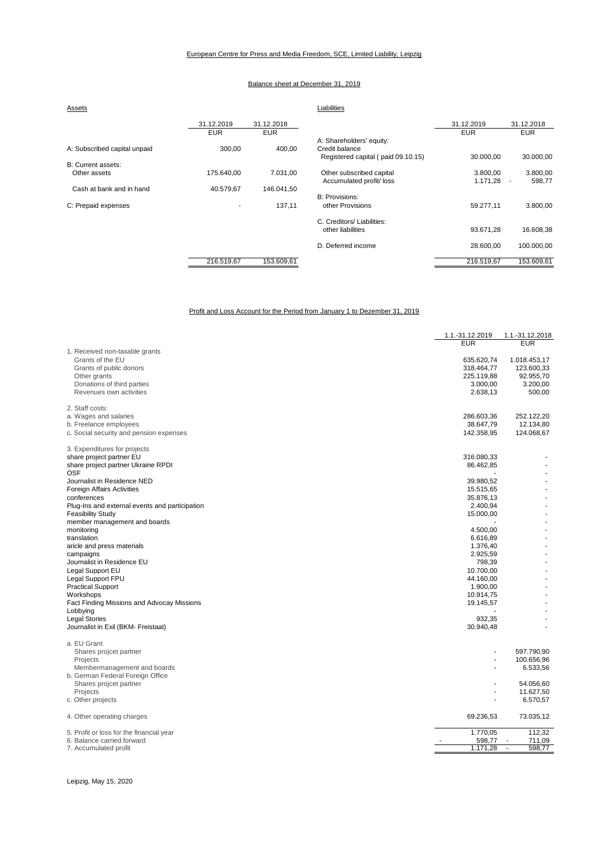#### Balance sheet at December 31, 2019

| Assets                       |                          |            | Liabilities                        |            |                                    |
|------------------------------|--------------------------|------------|------------------------------------|------------|------------------------------------|
|                              | 31.12.2019               | 31.12.2018 |                                    | 31.12.2019 | 31.12.2018                         |
|                              | <b>EUR</b>               | <b>EUR</b> |                                    | <b>EUR</b> | <b>EUR</b>                         |
|                              |                          |            | A: Shareholders' equity:           |            |                                    |
| A: Subscribed capital unpaid | 300,00                   | 400,00     | Credit balance                     |            |                                    |
|                              |                          |            | Registered capital (paid 09.10.15) | 30.000,00  | 30.000,00                          |
| B: Current assets:           |                          |            |                                    |            |                                    |
| Other assets                 | 175.640,00               | 7.031,00   | Other subscribed capital           | 3.800,00   | 3.800,00                           |
|                              |                          |            | Accumulated profit/ loss           | 1.171,28   | 598.77<br>$\overline{\phantom{a}}$ |
| Cash at bank and in hand     | 40.579,67                | 146.041,50 |                                    |            |                                    |
|                              |                          |            | B: Provisions:                     |            |                                    |
| C: Prepaid expenses          | $\overline{\phantom{a}}$ | 137,11     | other Provisions                   | 59.277,11  | 3.800,00                           |
|                              |                          |            | C. Creditors/ Liabilities:         |            |                                    |
|                              |                          |            | other liabilities                  | 93.671.28  | 16.608,38                          |
|                              |                          |            | D. Deferred income                 | 28.600,00  | 100.000,00                         |
|                              | 216.519,67               | 153.609,61 |                                    | 216.519,67 | 153.609,61                         |

Profit and Loss Account for the Period from January 1 to Dezember 31, 2019

|                                                                            | 1.1.-31.12.2019 | 1.1.-31.12.2018  |
|----------------------------------------------------------------------------|-----------------|------------------|
|                                                                            | <b>EUR</b>      | <b>EUR</b>       |
| 1. Received non-taxable grants                                             |                 |                  |
| Grants of the EU                                                           | 635.620,74      | 1.018.453,17     |
| Grants of public donors                                                    | 318.464,77      | 123.600,33       |
| Other grants                                                               | 225.119,88      | 92.955,70        |
| Donations of third parties                                                 | 3.000,00        | 3.200,00         |
| Revenues own activities                                                    | 2.638,13        | 500,00           |
|                                                                            |                 |                  |
| 2. Staff costs:                                                            |                 |                  |
| a. Wages and salaries                                                      | 286.603,36      | 252.122,20       |
| b. Freelance employees                                                     | 38.647,79       | 12.134,80        |
| c. Social security and pension expenses                                    | 142.358,95      | 124.068,67       |
| 3. Expenditures for projects                                               |                 |                  |
| share project partner EU                                                   | 316.080,33      |                  |
| share project partner Ukraine RPDI                                         | 86.462,85       |                  |
| <b>OSF</b>                                                                 |                 |                  |
| Journalist in Residence NED                                                | 39.980,52       |                  |
| Foreign Affairs Activities                                                 | 15.515,65       |                  |
| conferences                                                                | 35.876,13       |                  |
|                                                                            | 2.400,94        |                  |
| Plug-Ins and external events and participation<br><b>Feasibility Study</b> | 15.000,00       |                  |
| member management and boards                                               |                 |                  |
| monitoring                                                                 | 4.500,00        |                  |
| translation                                                                | 6.616,89        |                  |
| aricle and press materials                                                 | 1.376,40        |                  |
|                                                                            |                 |                  |
| campaigns                                                                  | 2.925,59        |                  |
| Journalist in Residence EU                                                 | 798,39          | ä,               |
| Legal Support EU                                                           | 10.700,00       |                  |
| Legal Support FPU                                                          | 44.160,00       |                  |
| <b>Practical Support</b>                                                   | 1.900,00        |                  |
| Workshops                                                                  | 10.914,75       |                  |
| Fact Finding Missions and Advocay Missions                                 | 19.145,57       |                  |
| Lobbying                                                                   |                 |                  |
| <b>Legal Stories</b>                                                       | 932,35          |                  |
| Journalist in Exil (BKM- Freistaat)                                        | 30.940,48       |                  |
| a. EU Grant                                                                |                 |                  |
| Shares projcet partner                                                     |                 | 597.790,90       |
| Projects                                                                   |                 | 100.656,96       |
| Membermanagement and boards                                                |                 | 6.533,56         |
| b. German Federal Foreign Office                                           |                 |                  |
| Shares projcet partner                                                     |                 | 54.056,60        |
| Projects                                                                   |                 | 11.627,50        |
| c. Other projects                                                          |                 | 6.570,57         |
|                                                                            |                 |                  |
| 4. Other operating charges                                                 | 69.236,53       | 73.035,12        |
| 5. Profit or loss for the financial year                                   | 1.770,05        | 112,32           |
| 6. Balance carried forward                                                 | 598,77          | 711,09           |
| 7. Accumulated profit                                                      | 1.171,28        | 598,77<br>$\sim$ |

#### Leipzig, May 15, 2020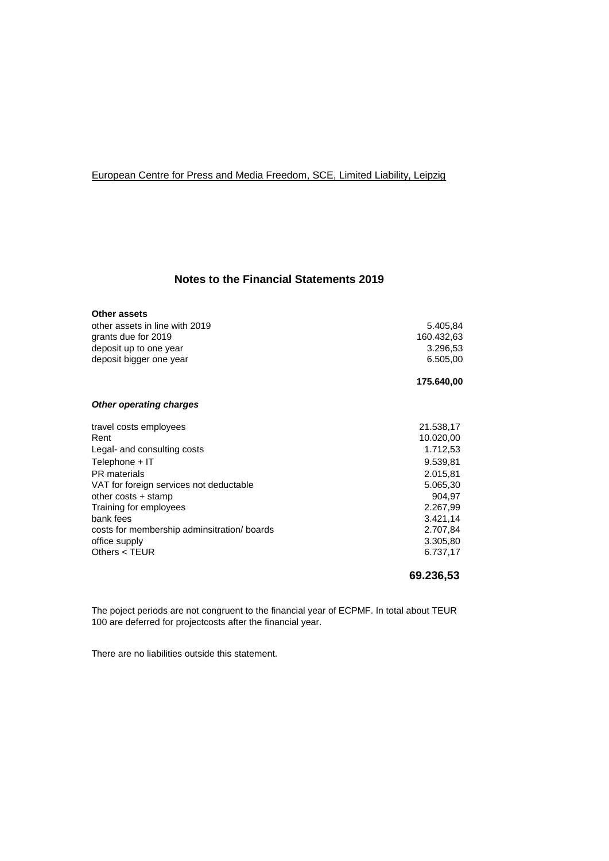# European Centre for Press and Media Freedom, SCE, Limited Liability, Leipzig

# **Notes to the Financial Statements 2019**

| Other assets                               |            |
|--------------------------------------------|------------|
| other assets in line with 2019             | 5.405,84   |
| grants due for 2019                        | 160.432,63 |
| deposit up to one year                     | 3.296,53   |
| deposit bigger one year                    | 6.505,00   |
|                                            | 175.640,00 |
| <b>Other operating charges</b>             |            |
| travel costs employees                     | 21.538,17  |
| Rent                                       | 10.020,00  |
| Legal- and consulting costs                | 1.712,53   |
| Telephone + IT                             | 9.539,81   |
| PR materials                               | 2.015,81   |
| VAT for foreign services not deductable    | 5.065,30   |
| other costs + stamp                        | 904,97     |
| Training for employees                     | 2.267,99   |
| bank fees                                  | 3.421,14   |
| costs for membership adminsitration/boards | 2.707,84   |
| office supply                              | 3.305,80   |
| Others $<$ TEUR                            | 6.737,17   |

**69.236,53**

The poject periods are not congruent to the financial year of ECPMF. In total about TEUR 100 are deferred for projectcosts after the financial year.

There are no liabilities outside this statement.